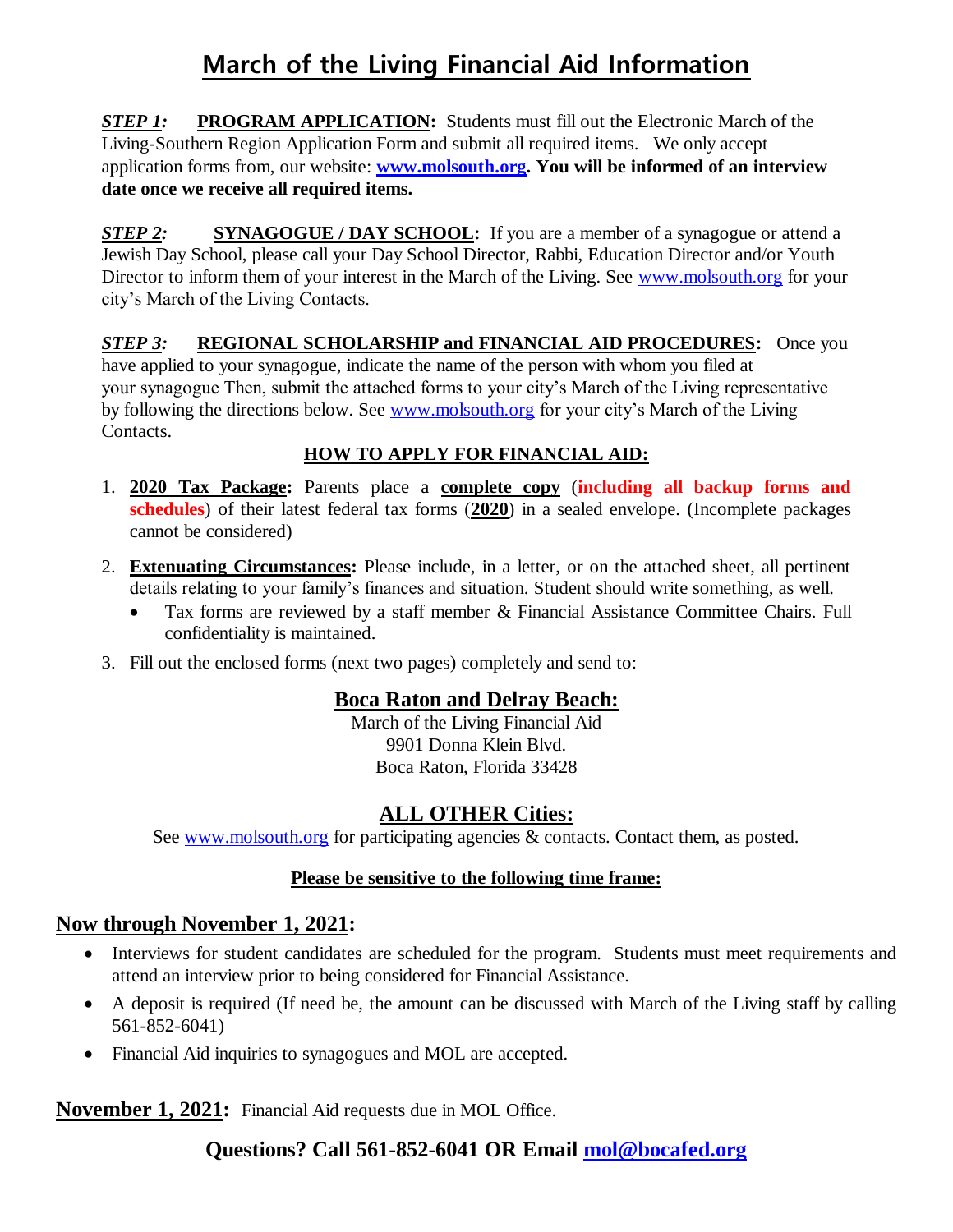# **March of the Living Financial Aid Information**

**STEP 1:** PROGRAM APPLICATION: Students must fill out the Electronic March of the Living-Southern Region Application Form and submit all required items. We only accept application forms from, our website: **[www.molsouth.org.](http://www.molsouth.org/) You will be informed of an interview date once we receive all required items.**

**STEP 2:** SYNAGOGUE / DAY SCHOOL: If you are a member of a synagogue or attend a Jewish Day School, please call your Day School Director, Rabbi, Education Director and/or Youth Director to inform them of your interest in the March of the Living. See [www.molsouth.org](http://www.molsouth.org/) for your city's March of the Living Contacts.

**STEP 3: REGIONAL SCHOLARSHIP and FINANCIAL AID PROCEDURES:** Once you have applied to your synagogue, indicate the name of the person with whom you filed at your synagogue Then, submit the attached forms to your city's March of the Living representative by following the directions below. See [www.molsouth.org](http://www.molsouth.org/) for your city's March of the Living Contacts.

### **HOW TO APPLY FOR FINANCIAL AID:**

- 1. **2020 Tax Package:** Parents place a **complete copy** (**including all backup forms and schedules**) of their latest federal tax forms (**2020**) in a sealed envelope. (Incomplete packages cannot be considered)
- 2. **Extenuating Circumstances:** Please include, in a letter, or on the attached sheet, all pertinent details relating to your family's finances and situation. Student should write something, as well.
	- Tax forms are reviewed by a staff member & Financial Assistance Committee Chairs. Full confidentiality is maintained.
- 3. Fill out the enclosed forms (next two pages) completely and send to:

### **Boca Raton and Delray Beach:**

March of the Living Financial Aid 9901 Donna Klein Blvd. Boca Raton, Florida 33428

### **ALL OTHER Cities:**

See [www.molsouth.org](http://www.molsouth.org/) for participating agencies & contacts. Contact them, as posted.

#### **Please be sensitive to the following time frame:**

### **Now through November 1, 2021:**

- Interviews for student candidates are scheduled for the program. Students must meet requirements and attend an interview prior to being considered for Financial Assistance.
- A deposit is required (If need be, the amount can be discussed with March of the Living staff by calling 561-852-6041)
- Financial Aid inquiries to synagogues and MOL are accepted.

**November 1, 2021:** Financial Aid requests due in MOL Office.

### **Questions? Call 561-852-6041 OR Email [mol@bocafed.org](mailto:mol@bocafed.org)**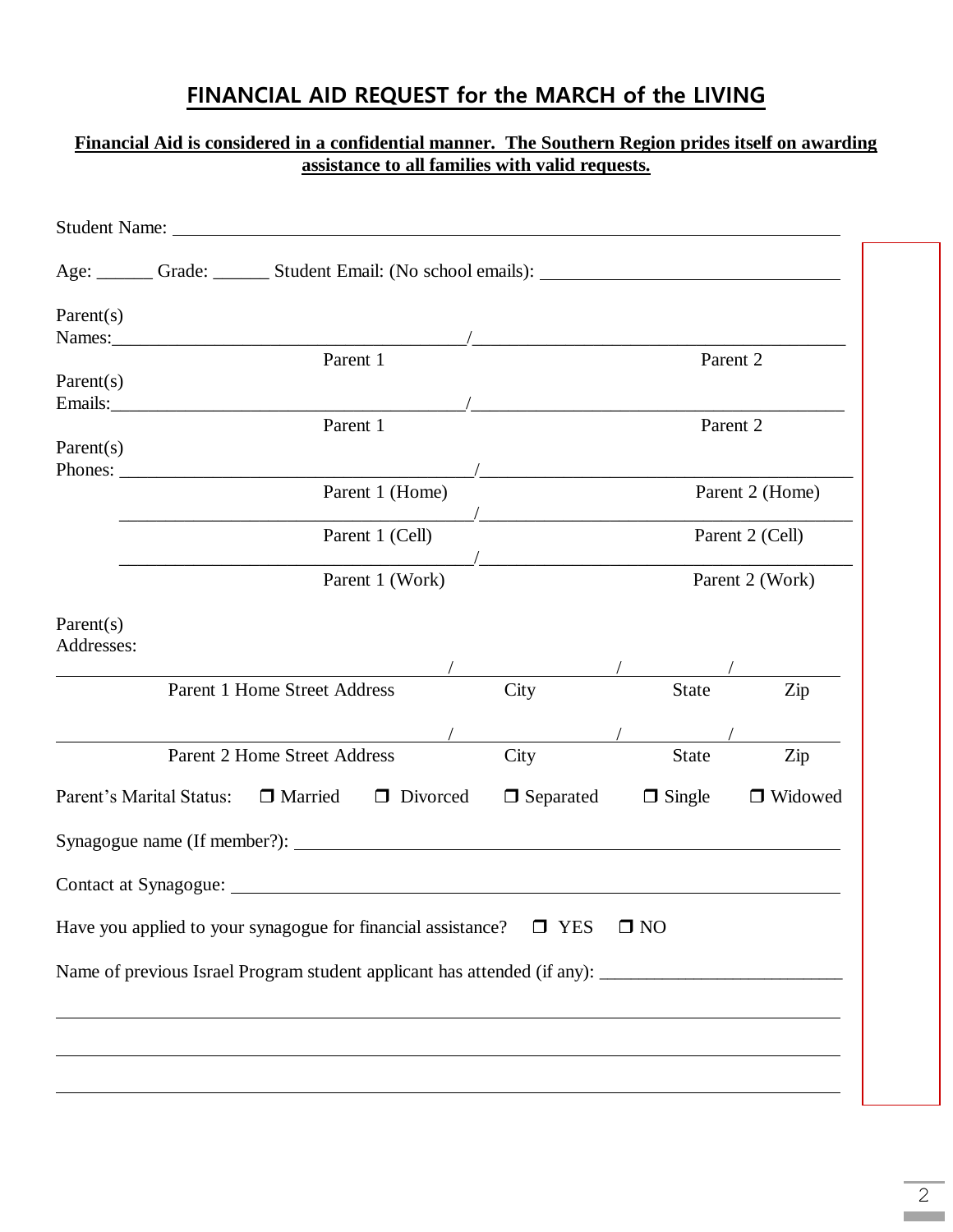## **FINANCIAL AID REQUEST for the MARCH of the LIVING**

#### **Financial Aid is considered in a confidential manner. The Southern Region prides itself on awarding assistance to all families with valid requests.**

| Age: Crade: Crade: Student Email: (No school emails): Canadian Magnetic Crame Crame Contains and Student Email: (No school emails): |                                                       |  |                  |                                                                    |           |  |
|-------------------------------------------------------------------------------------------------------------------------------------|-------------------------------------------------------|--|------------------|--------------------------------------------------------------------|-----------|--|
| Parent(s)                                                                                                                           |                                                       |  |                  |                                                                    |           |  |
|                                                                                                                                     | Parent 1                                              |  |                  | Parent 2                                                           |           |  |
| Parent(s)                                                                                                                           |                                                       |  |                  |                                                                    |           |  |
| Parent(s)                                                                                                                           | Parent 1                                              |  |                  | Parent 2                                                           |           |  |
|                                                                                                                                     |                                                       |  |                  | <u> 1989 - Jan James James Barnett, fransk politiker (d. 1989)</u> |           |  |
|                                                                                                                                     | Parent 1 (Home)<br>Parent 1 (Cell)<br>Parent 1 (Work) |  |                  | Parent 2 (Home)                                                    |           |  |
|                                                                                                                                     |                                                       |  |                  | Parent 2 (Cell)                                                    |           |  |
|                                                                                                                                     |                                                       |  |                  | Parent 2 (Work)                                                    |           |  |
| Parent(s)<br>Addresses:                                                                                                             |                                                       |  |                  |                                                                    |           |  |
| Parent 1 Home Street Address                                                                                                        |                                                       |  | City             | <b>State</b>                                                       | Zip       |  |
|                                                                                                                                     |                                                       |  |                  |                                                                    |           |  |
|                                                                                                                                     | <b>Parent 2 Home Street Address</b>                   |  | City             | <b>State</b>                                                       | Zip       |  |
| Parent's Marital Status: □ Married □ Divorced                                                                                       |                                                       |  | $\Box$ Separated | $\Box$ Single                                                      | □ Widowed |  |
|                                                                                                                                     |                                                       |  |                  |                                                                    |           |  |
|                                                                                                                                     |                                                       |  |                  |                                                                    |           |  |
| Have you applied to your synagogue for financial assistance?                                                                        |                                                       |  | $\Box$ YES       | $\square$ NO                                                       |           |  |
|                                                                                                                                     |                                                       |  |                  |                                                                    |           |  |
|                                                                                                                                     |                                                       |  |                  |                                                                    |           |  |
|                                                                                                                                     |                                                       |  |                  |                                                                    |           |  |
|                                                                                                                                     |                                                       |  |                  |                                                                    |           |  |